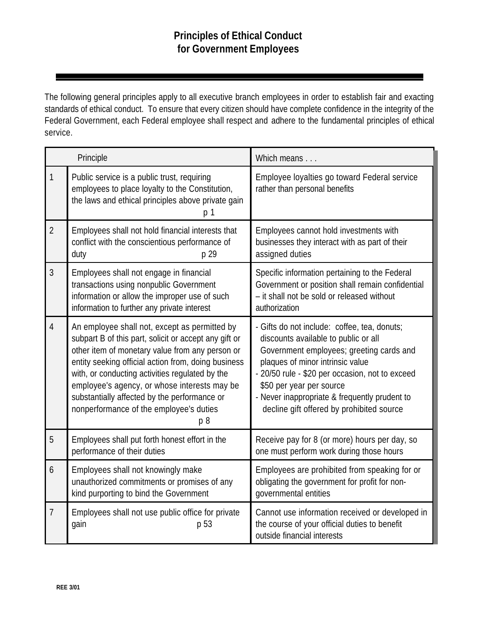The following general principles apply to all executive branch employees in order to establish fair and exacting standards of ethical conduct. To ensure that every citizen should have complete confidence in the integrity of the Federal Government, each Federal employee shall respect and adhere to the fundamental principles of ethical service.

| Principle      |                                                                                                                                                                                                                                                                                                                                                                                                                                  | Which means                                                                                                                                                                                                                                                                                                                                       |
|----------------|----------------------------------------------------------------------------------------------------------------------------------------------------------------------------------------------------------------------------------------------------------------------------------------------------------------------------------------------------------------------------------------------------------------------------------|---------------------------------------------------------------------------------------------------------------------------------------------------------------------------------------------------------------------------------------------------------------------------------------------------------------------------------------------------|
| 1              | Public service is a public trust, requiring<br>employees to place loyalty to the Constitution,<br>the laws and ethical principles above private gain<br>p 1                                                                                                                                                                                                                                                                      | Employee loyalties go toward Federal service<br>rather than personal benefits                                                                                                                                                                                                                                                                     |
| $\overline{2}$ | Employees shall not hold financial interests that<br>conflict with the conscientious performance of<br>duty<br>p 29                                                                                                                                                                                                                                                                                                              | Employees cannot hold investments with<br>businesses they interact with as part of their<br>assigned duties                                                                                                                                                                                                                                       |
| 3              | Employees shall not engage in financial<br>transactions using nonpublic Government<br>information or allow the improper use of such<br>information to further any private interest                                                                                                                                                                                                                                               | Specific information pertaining to the Federal<br>Government or position shall remain confidential<br>- it shall not be sold or released without<br>authorization                                                                                                                                                                                 |
| $\overline{4}$ | An employee shall not, except as permitted by<br>subpart B of this part, solicit or accept any gift or<br>other item of monetary value from any person or<br>entity seeking official action from, doing business<br>with, or conducting activities regulated by the<br>employee's agency, or whose interests may be<br>substantially affected by the performance or<br>nonperformance of the employee's duties<br>p <sub>8</sub> | - Gifts do not include: coffee, tea, donuts;<br>discounts available to public or all<br>Government employees; greeting cards and<br>plaques of minor intrinsic value<br>- 20/50 rule - \$20 per occasion, not to exceed<br>\$50 per year per source<br>- Never inappropriate & frequently prudent to<br>decline gift offered by prohibited source |
| 5              | Employees shall put forth honest effort in the<br>performance of their duties                                                                                                                                                                                                                                                                                                                                                    | Receive pay for 8 (or more) hours per day, so<br>one must perform work during those hours                                                                                                                                                                                                                                                         |
| 6              | Employees shall not knowingly make<br>unauthorized commitments or promises of any<br>kind purporting to bind the Government                                                                                                                                                                                                                                                                                                      | Employees are prohibited from speaking for or<br>obligating the government for profit for non-<br>governmental entities                                                                                                                                                                                                                           |
| 7              | Employees shall not use public office for private<br>gain<br>p 53                                                                                                                                                                                                                                                                                                                                                                | Cannot use information received or developed in<br>the course of your official duties to benefit<br>outside financial interests                                                                                                                                                                                                                   |